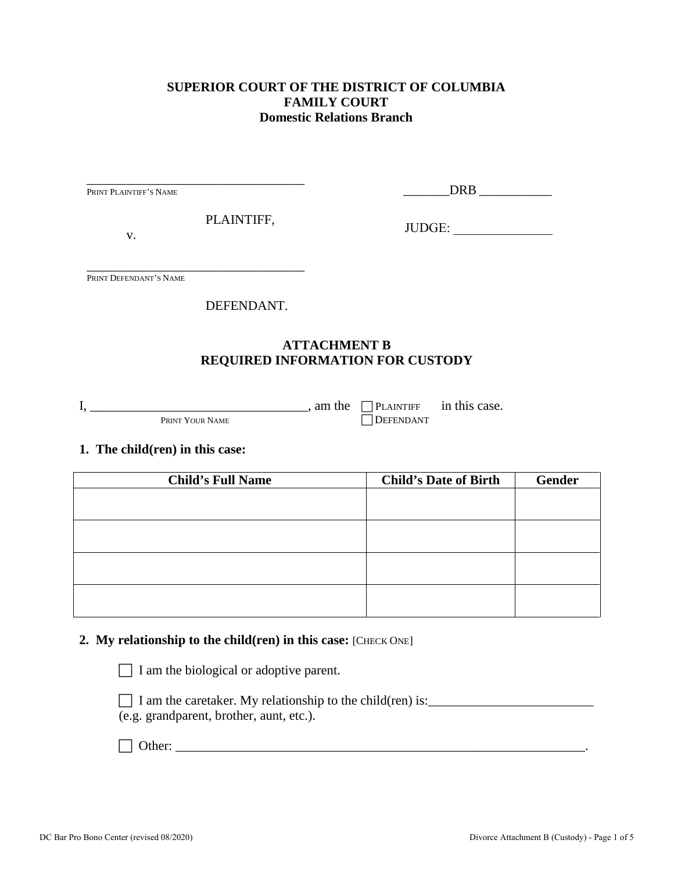# **SUPERIOR COURT OF THE DISTRICT OF COLUMBIA FAMILY COURT Domestic Relations Branch**

| PRINT PLAINTIFF'S NAME                                    |                                                         |
|-----------------------------------------------------------|---------------------------------------------------------|
| PLAINTIFF,<br>V.                                          | JUDGE:                                                  |
| PRINT DEFENDANT'S NAME                                    |                                                         |
| DEFENDANT.                                                |                                                         |
|                                                           | <b>ATTACHMENT B</b><br>REQUIRED INFORMATION FOR CUSTODY |
| $I, \underline{\hspace{1cm}}$ , am the<br>PRINT YOUR NAME | $\Box$ PLAINTIFF in this case.<br><b>DEFENDANT</b>      |
| 1. The child(ren) in this case:                           |                                                         |
| <b>Child's Full Name</b>                                  | <b>Gender</b><br><b>Child's Date of Birth</b>           |
|                                                           |                                                         |
|                                                           |                                                         |
|                                                           |                                                         |
|                                                           |                                                         |
|                                                           |                                                         |

## **2.** My relationship to the child(ren) in this case: [CHECK ONE]

 $\Box$  I am the biological or adoptive parent.

| I am the caretaker. My relationship to the child (ren) is: |  |
|------------------------------------------------------------|--|
| (e.g. grandparent, brother, aunt, etc.).                   |  |

Other: \_\_\_\_\_\_\_\_\_\_\_\_\_\_\_\_\_\_\_\_\_\_\_\_\_\_\_\_\_\_\_\_\_\_\_\_\_\_\_\_\_\_\_\_\_\_\_\_\_\_\_\_\_\_\_\_\_\_\_\_\_\_.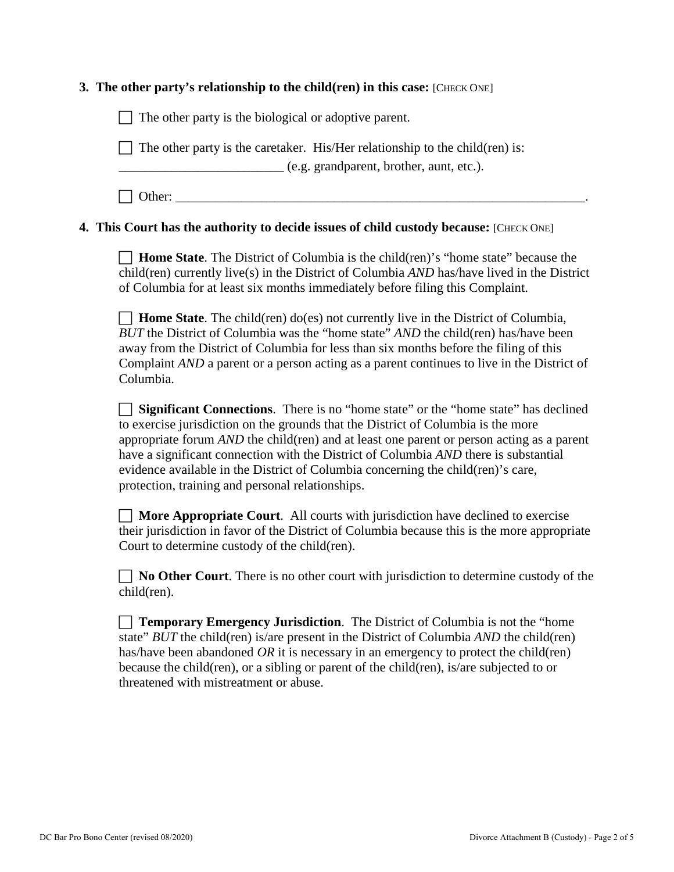### **3. The other party's relationship to the child(ren) in this case:** [CHECK ONE]

 $\Box$  The other party is the biological or adoptive parent.  $\Box$  The other party is the caretaker. His/Her relationship to the child(ren) is: \_\_\_\_\_\_\_\_\_\_\_\_\_\_\_\_\_\_\_\_\_\_\_\_\_ (e.g. grandparent, brother, aunt, etc.).  $\Box$  Other:

### **4. This Court has the authority to decide issues of child custody because:** [CHECK ONE]

 **Home State**. The District of Columbia is the child(ren)'s "home state" because the child(ren) currently live(s) in the District of Columbia *AND* has/have lived in the District of Columbia for at least six months immediately before filing this Complaint.

 **Home State**. The child(ren) do(es) not currently live in the District of Columbia, *BUT* the District of Columbia was the "home state" *AND* the child(ren) has/have been away from the District of Columbia for less than six months before the filing of this Complaint *AND* a parent or a person acting as a parent continues to live in the District of Columbia.

 **Significant Connections**. There is no "home state" or the "home state" has declined to exercise jurisdiction on the grounds that the District of Columbia is the more appropriate forum *AND* the child(ren) and at least one parent or person acting as a parent have a significant connection with the District of Columbia *AND* there is substantial evidence available in the District of Columbia concerning the child(ren)'s care, protection, training and personal relationships.

 **More Appropriate Court**. All courts with jurisdiction have declined to exercise their jurisdiction in favor of the District of Columbia because this is the more appropriate Court to determine custody of the child(ren).

**No Other Court**. There is no other court with jurisdiction to determine custody of the child(ren).

| <b>Temporary Emergency Jurisdiction.</b> The District of Columbia is not the "home"         |
|---------------------------------------------------------------------------------------------|
| state" $BUT$ the child(ren) is/are present in the District of Columbia $AND$ the child(ren) |
| has/have been abandoned OR it is necessary in an emergency to protect the child (ren)       |
| because the child (ren), or a sibling or parent of the child (ren), is are subjected to or  |
| threatened with mistreatment or abuse.                                                      |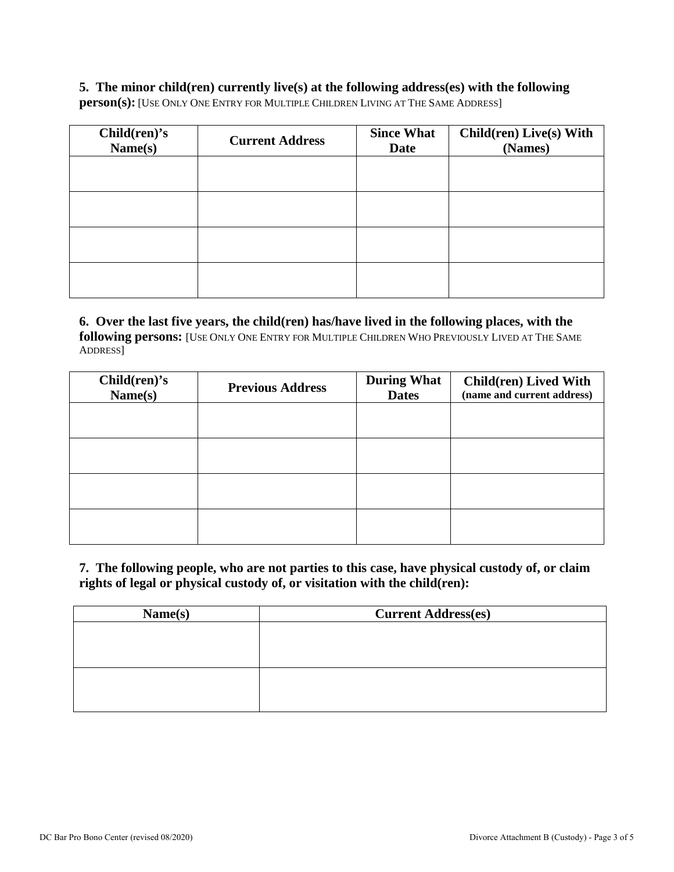## **5. The minor child(ren) currently live(s) at the following address(es) with the following**

**person(s):** [USE ONLY ONE ENTRY FOR MULTIPLE CHILDREN LIVING AT THE SAME ADDRESS]

| Children) <sub>s</sub><br>Name(s) | <b>Current Address</b> | <b>Since What</b><br><b>Date</b> | Child(ren) Live(s) With<br>(Names) |
|-----------------------------------|------------------------|----------------------------------|------------------------------------|
|                                   |                        |                                  |                                    |
|                                   |                        |                                  |                                    |
|                                   |                        |                                  |                                    |
|                                   |                        |                                  |                                    |

## **6. Over the last five years, the child(ren) has/have lived in the following places, with the following persons:** [USE ONLY ONE ENTRY FOR MULTIPLE CHILDREN WHO PREVIOUSLY LIVED AT THE SAME ADDRESS]

| Child(ren) <sup>'</sup> s<br>Name(s) | <b>Previous Address</b> | <b>During What</b><br><b>Dates</b> | Child(ren) Lived With<br>(name and current address) |
|--------------------------------------|-------------------------|------------------------------------|-----------------------------------------------------|
|                                      |                         |                                    |                                                     |
|                                      |                         |                                    |                                                     |
|                                      |                         |                                    |                                                     |
|                                      |                         |                                    |                                                     |

**7. The following people, who are not parties to this case, have physical custody of, or claim rights of legal or physical custody of, or visitation with the child(ren):** 

| Name(s) | <b>Current Address(es)</b> |
|---------|----------------------------|
|         |                            |
|         |                            |
|         |                            |
|         |                            |
|         |                            |
|         |                            |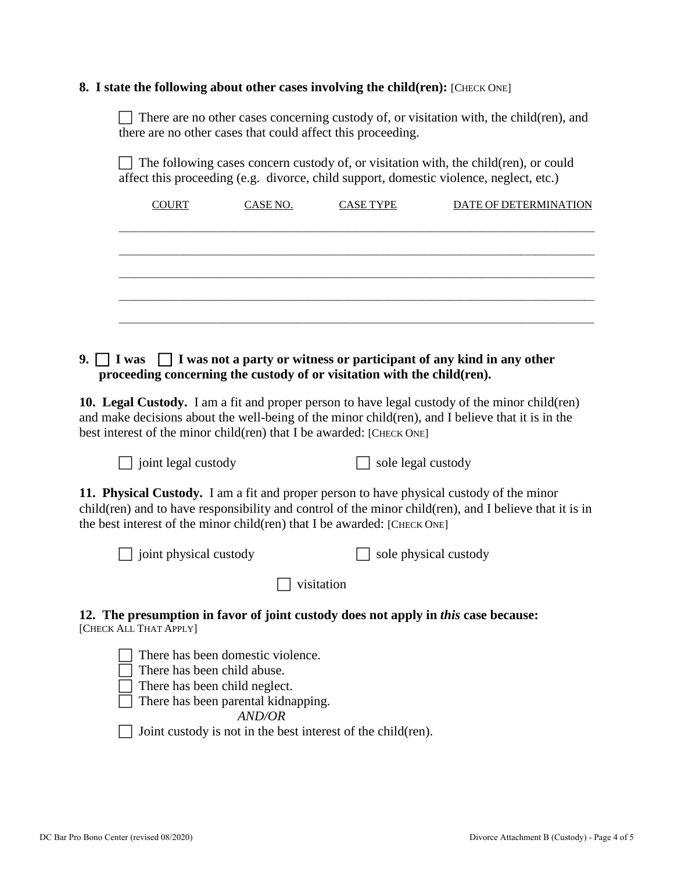#### **8.** I state the following about other cases involving the child(ren): [CHECK ONE]

There are no other cases concerning custody of, or visitation with, the child(ren), and there are no other cases that could affect this proceeding.

 $\Box$  The following cases concern custody of, or visitation with, the child(ren), or could affect this proceeding (e.g. divorce, child support, domestic violence, neglect, etc.)

| <b>COURT</b> | CASE NO. | <b>CASE TYPE</b> | DATE OF DETERMINATION |
|--------------|----------|------------------|-----------------------|
|              |          |                  |                       |
|              |          |                  |                       |
|              |          |                  |                       |
|              |          |                  |                       |
|              |          |                  |                       |
|              |          |                  |                       |

# **9. I was I was not a party or witness or participant of any kind in any other proceeding concerning the custody of or visitation with the child(ren).**

**10. Legal Custody.** I am a fit and proper person to have legal custody of the minor child(ren) and make decisions about the well-being of the minor child(ren), and I believe that it is in the best interest of the minor child(ren) that I be awarded: [CHECK ONE]

 $\Box$  joint legal custody  $\Box$  sole legal custody

**11. Physical Custody.** I am a fit and proper person to have physical custody of the minor child(ren) and to have responsibility and control of the minor child(ren), and I believe that it is in the best interest of the minor child(ren) that I be awarded:  $[CHECK ONE]$ 

| $\Box$ joint physical custody | $\Box$ sole physical custody |
|-------------------------------|------------------------------|
|                               |                              |

 $\Box$  visitation

**12. The presumption in favor of joint custody does not apply in** *this* **case because:** [CHECK ALL THAT APPLY]

 There has been domestic violence.  $\Box$  There has been child abuse.  $\Box$  There has been child neglect.  $\Box$  There has been parental kidnapping. *AND/OR* Joint custody is not in the best interest of the child(ren).